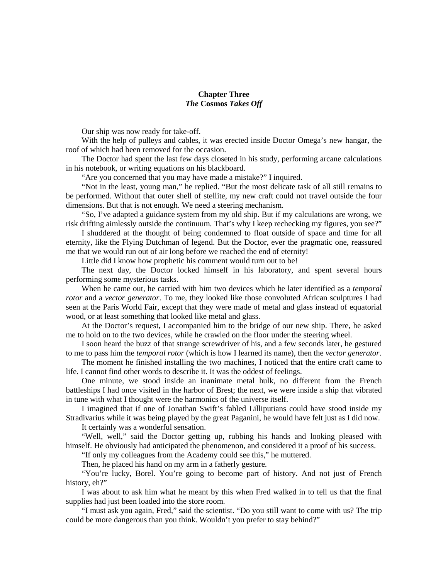## **Chapter Three** *The* **Cosmos** *Takes Off*

Our ship was now ready for take-off.

With the help of pulleys and cables, it was erected inside Doctor Omega's new hangar, the roof of which had been removed for the occasion.

The Doctor had spent the last few days closeted in his study, performing arcane calculations in his notebook, or writing equations on his blackboard.

"Are you concerned that you may have made a mistake?" I inquired.

"Not in the least, young man," he replied. "But the most delicate task of all still remains to be performed. Without that outer shell of stellite, my new craft could not travel outside the four dimensions. But that is not enough. We need a steering mechanism.

"So, I've adapted a guidance system from my old ship. But if my calculations are wrong, we risk drifting aimlessly outside the continuum. That's why I keep rechecking my figures, you see?"

I shuddered at the thought of being condemned to float outside of space and time for all eternity, like the Flying Dutchman of legend. But the Doctor, ever the pragmatic one, reassured me that we would run out of air long before we reached the end of eternity!

Little did I know how prophetic his comment would turn out to be!

The next day, the Doctor locked himself in his laboratory, and spent several hours performing some mysterious tasks.

When he came out, he carried with him two devices which he later identified as a *temporal rotor* and a *vector generator*. To me, they looked like those convoluted African sculptures I had seen at the Paris World Fair, except that they were made of metal and glass instead of equatorial wood, or at least something that looked like metal and glass.

At the Doctor's request, I accompanied him to the bridge of our new ship. There, he asked me to hold on to the two devices, while he crawled on the floor under the steering wheel.

I soon heard the buzz of that strange screwdriver of his, and a few seconds later, he gestured to me to pass him the *temporal rotor* (which is how I learned its name), then the *vector generator*.

The moment he finished installing the two machines, I noticed that the entire craft came to life. I cannot find other words to describe it. It was the oddest of feelings.

One minute, we stood inside an inanimate metal hulk, no different from the French battleships I had once visited in the harbor of Brest; the next, we were inside a ship that vibrated in tune with what I thought were the harmonics of the universe itself.

I imagined that if one of Jonathan Swift's fabled Lilliputians could have stood inside my Stradivarius while it was being played by the great Paganini, he would have felt just as I did now.

It certainly was a wonderful sensation.

"Well, well," said the Doctor getting up, rubbing his hands and looking pleased with himself. He obviously had anticipated the phenomenon, and considered it a proof of his success.

"If only my colleagues from the Academy could see this," he muttered.

Then, he placed his hand on my arm in a fatherly gesture.

"You're lucky, Borel. You're going to become part of history. And not just of French history, eh?"

I was about to ask him what he meant by this when Fred walked in to tell us that the final supplies had just been loaded into the store room.

"I must ask you again, Fred," said the scientist. "Do you still want to come with us? The trip could be more dangerous than you think. Wouldn't you prefer to stay behind?"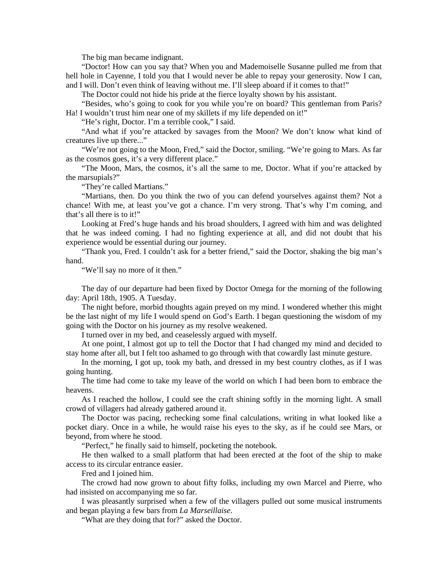The big man became indignant.

"Doctor! How can you say that? When you and Mademoiselle Susanne pulled me from that hell hole in Cayenne, I told you that I would never be able to repay your generosity. Now I can, and I will. Don't even think of leaving without me. I'll sleep aboard if it comes to that!"

The Doctor could not hide his pride at the fierce loyalty shown by his assistant.

"Besides, who's going to cook for you while you're on board? This gentleman from Paris? Ha! I wouldn't trust him near one of my skillets if my life depended on it!"

"He's right, Doctor. I'm a terrible cook," I said.

"And what if you're attacked by savages from the Moon? We don't know what kind of creatures live up there..."

"We're not going to the Moon, Fred," said the Doctor, smiling. "We're going to Mars. As far as the cosmos goes, it's a very different place."

"The Moon, Mars, the cosmos, it's all the same to me, Doctor. What if you're attacked by the marsupials?"

"They're called Martians."

"Martians, then. Do you think the two of you can defend yourselves against them? Not a chance! With me, at least you've got a chance. I'm very strong. That's why I'm coming, and that's all there is to it!"

Looking at Fred's huge hands and his broad shoulders, I agreed with him and was delighted that he was indeed coming. I had no fighting experience at all, and did not doubt that his experience would be essential during our journey.

"Thank you, Fred. I couldn't ask for a better friend," said the Doctor, shaking the big man's hand.

"We'll say no more of it then."

The day of our departure had been fixed by Doctor Omega for the morning of the following day: April 18th, 1905. A Tuesday.

The night before, morbid thoughts again preyed on my mind. I wondered whether this might be the last night of my life I would spend on God's Earth. I began questioning the wisdom of my going with the Doctor on his journey as my resolve weakened.

I turned over in my bed, and ceaselessly argued with myself.

At one point, I almost got up to tell the Doctor that I had changed my mind and decided to stay home after all, but I felt too ashamed to go through with that cowardly last minute gesture.

In the morning, I got up, took my bath, and dressed in my best country clothes, as if I was going hunting.

The time had come to take my leave of the world on which I had been born to embrace the heavens.

As I reached the hollow, I could see the craft shining softly in the morning light. A small crowd of villagers had already gathered around it.

The Doctor was pacing, rechecking some final calculations, writing in what looked like a pocket diary. Once in a while, he would raise his eyes to the sky, as if he could see Mars, or beyond, from where he stood.

"Perfect," he finally said to himself, pocketing the notebook.

He then walked to a small platform that had been erected at the foot of the ship to make access to its circular entrance easier.

Fred and I joined him.

The crowd had now grown to about fifty folks, including my own Marcel and Pierre, who had insisted on accompanying me so far.

I was pleasantly surprised when a few of the villagers pulled out some musical instruments and began playing a few bars from *La Marseillaise*.

"What are they doing that for?" asked the Doctor.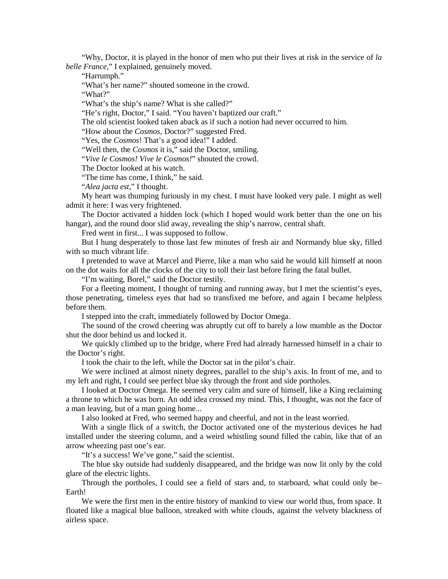"Why, Doctor, it is played in the honor of men who put their lives at risk in the service of *la belle France*," I explained, genuinely moved.

"Harrumph."

"What's her name?" shouted someone in the crowd.

"What?"

"What's the ship's name? What is she called?"

"He's right, Doctor," I said. "You haven't baptized our craft."

The old scientist looked taken aback as if such a notion had never occurred to him.

"How about the *Cosmos*, Doctor?" suggested Fred.

"Yes, the *Cosmos*! That's a good idea!" I added.

"Well then, the *Cosmos* it is," said the Doctor, smiling.

"*Vive le Cosmos! Vive le Cosmos!*" shouted the crowd.

The Doctor looked at his watch.

"The time has come, I think," he said.

"*Alea jacta est*," I thought.

My heart was thumping furiously in my chest. I must have looked very pale. I might as well admit it here: I was very frightened.

The Doctor activated a hidden lock (which I hoped would work better than the one on his hangar), and the round door slid away, revealing the ship's narrow, central shaft.

Fred went in first... I was supposed to follow.

But I hung desperately to those last few minutes of fresh air and Normandy blue sky, filled with so much vibrant life.

I pretended to wave at Marcel and Pierre, like a man who said he would kill himself at noon on the dot waits for all the clocks of the city to toll their last before firing the fatal bullet.

"I'm waiting, Borel," said the Doctor testily.

For a fleeting moment, I thought of turning and running away, but I met the scientist's eyes, those penetrating, timeless eyes that had so transfixed me before, and again I became helpless before them.

I stepped into the craft, immediately followed by Doctor Omega.

The sound of the crowd cheering was abruptly cut off to barely a low mumble as the Doctor shut the door behind us and locked it.

We quickly climbed up to the bridge, where Fred had already harnessed himself in a chair to the Doctor's right.

I took the chair to the left, while the Doctor sat in the pilot's chair.

We were inclined at almost ninety degrees, parallel to the ship's axis. In front of me, and to my left and right, I could see perfect blue sky through the front and side portholes.

I looked at Doctor Omega. He seemed very calm and sure of himself, like a King reclaiming a throne to which he was born. An odd idea crossed my mind. This, I thought, was not the face of a man leaving, but of a man going home...

I also looked at Fred, who seemed happy and cheerful, and not in the least worried.

With a single flick of a switch, the Doctor activated one of the mysterious devices he had installed under the steering column, and a weird whistling sound filled the cabin, like that of an arrow wheezing past one's ear.

"It's a success! We've gone," said the scientist.

The blue sky outside had suddenly disappeared, and the bridge was now lit only by the cold glare of the electric lights.

Through the portholes, I could see a field of stars and, to starboard, what could only be– Earth!

We were the first men in the entire history of mankind to view our world thus, from space. It floated like a magical blue balloon, streaked with white clouds, against the velvety blackness of airless space.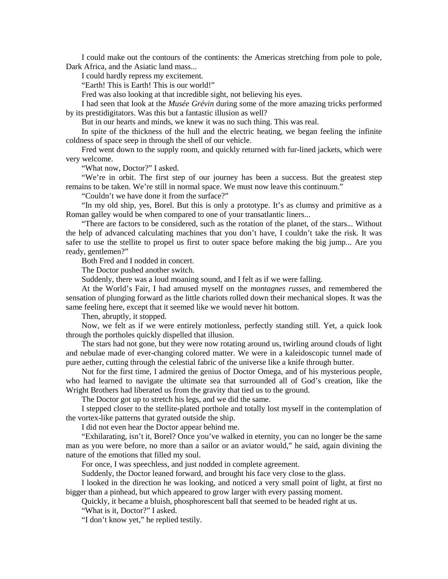I could make out the contours of the continents: the Americas stretching from pole to pole, Dark Africa, and the Asiatic land mass...

I could hardly repress my excitement.

"Earth! This is Earth! This is our world!"

Fred was also looking at that incredible sight, not believing his eyes.

I had seen that look at the *Musée Grévin* during some of the more amazing tricks performed by its prestidigitators. Was this but a fantastic illusion as well?

But in our hearts and minds, we knew it was no such thing. This was real.

In spite of the thickness of the hull and the electric heating, we began feeling the infinite coldness of space seep in through the shell of our vehicle.

Fred went down to the supply room, and quickly returned with fur-lined jackets, which were very welcome.

"What now, Doctor?" I asked.

"We're in orbit. The first step of our journey has been a success. But the greatest step remains to be taken. We're still in normal space. We must now leave this continuum."

"Couldn't we have done it from the surface?"

"In my old ship, yes, Borel. But this is only a prototype. It's as clumsy and primitive as a Roman galley would be when compared to one of your transatlantic liners...

"There are factors to be considered, such as the rotation of the planet, of the stars... Without the help of advanced calculating machines that you don't have, I couldn't take the risk. It was safer to use the stellite to propel us first to outer space before making the big jump... Are you ready, gentlemen?"

Both Fred and I nodded in concert.

The Doctor pushed another switch.

Suddenly, there was a loud moaning sound, and I felt as if we were falling.

At the World's Fair, I had amused myself on the *montagnes russes*, and remembered the sensation of plunging forward as the little chariots rolled down their mechanical slopes. It was the same feeling here, except that it seemed like we would never hit bottom.

Then, abruptly, it stopped.

Now, we felt as if we were entirely motionless, perfectly standing still. Yet, a quick look through the portholes quickly dispelled that illusion.

The stars had not gone, but they were now rotating around us, twirling around clouds of light and nebulae made of ever-changing colored matter. We were in a kaleidoscopic tunnel made of pure aether, cutting through the celestial fabric of the universe like a knife through butter.

Not for the first time, I admired the genius of Doctor Omega, and of his mysterious people, who had learned to navigate the ultimate sea that surrounded all of God's creation, like the Wright Brothers had liberated us from the gravity that tied us to the ground.

The Doctor got up to stretch his legs, and we did the same.

I stepped closer to the stellite-plated porthole and totally lost myself in the contemplation of the vortex-like patterns that gyrated outside the ship.

I did not even hear the Doctor appear behind me.

"Exhilarating, isn't it, Borel? Once you've walked in eternity, you can no longer be the same man as you were before, no more than a sailor or an aviator would," he said, again divining the nature of the emotions that filled my soul.

For once, I was speechless, and just nodded in complete agreement.

Suddenly, the Doctor leaned forward, and brought his face very close to the glass.

I looked in the direction he was looking, and noticed a very small point of light, at first no bigger than a pinhead, but which appeared to grow larger with every passing moment.

Quickly, it became a bluish, phosphorescent ball that seemed to be headed right at us.

"What is it, Doctor?" I asked.

"I don't know yet," he replied testily.